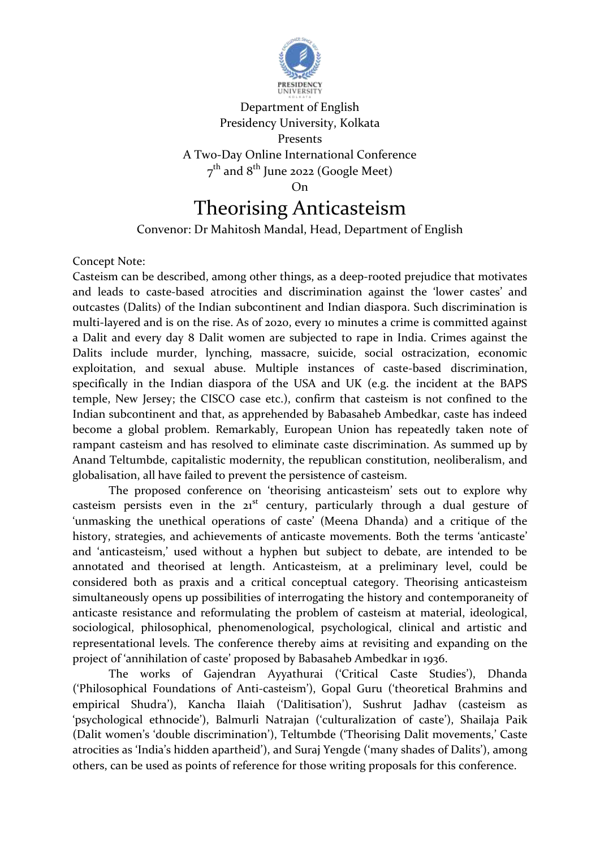

## Department of English Presidency University, Kolkata Presents A Two-Day Online International Conference  $7^{\rm th}$  and  $8^{\rm th}$  June 2022 (Google Meet) On

## Theorising Anticasteism

Convenor: Dr Mahitosh Mandal, Head, Department of English

## Concept Note:

Casteism can be described, among other things, as a deep-rooted prejudice that motivates and leads to caste-based atrocities and discrimination against the 'lower castes' and outcastes (Dalits) of the Indian subcontinent and Indian diaspora. Such discrimination is multi-layered and is on the rise. As of 2020, every 10 minutes a crime is committed against a Dalit and every day 8 Dalit women are subjected to rape in India. Crimes against the Dalits include murder, lynching, massacre, suicide, social ostracization, economic exploitation, and sexual abuse. Multiple instances of caste-based discrimination, specifically in the Indian diaspora of the USA and UK (e.g. the incident at the BAPS temple, New Jersey; the CISCO case etc.), confirm that casteism is not confined to the Indian subcontinent and that, as apprehended by Babasaheb Ambedkar, caste has indeed become a global problem. Remarkably, European Union has repeatedly taken note of rampant casteism and has resolved to eliminate caste discrimination. As summed up by Anand Teltumbde, capitalistic modernity, the republican constitution, neoliberalism, and globalisation, all have failed to prevent the persistence of casteism.

The proposed conference on 'theorising anticasteism' sets out to explore why casteism persists even in the  $21<sup>st</sup>$  century, particularly through a dual gesture of 'unmasking the unethical operations of caste' (Meena Dhanda) and a critique of the history, strategies, and achievements of anticaste movements. Both the terms 'anticaste' and 'anticasteism,' used without a hyphen but subject to debate, are intended to be annotated and theorised at length. Anticasteism, at a preliminary level, could be considered both as praxis and a critical conceptual category. Theorising anticasteism simultaneously opens up possibilities of interrogating the history and contemporaneity of anticaste resistance and reformulating the problem of casteism at material, ideological, sociological, philosophical, phenomenological, psychological, clinical and artistic and representational levels. The conference thereby aims at revisiting and expanding on the project of 'annihilation of caste' proposed by Babasaheb Ambedkar in 1936.

The works of Gajendran Ayyathurai ('Critical Caste Studies'), Dhanda ('Philosophical Foundations of Anti-casteism'), Gopal Guru ('theoretical Brahmins and empirical Shudra'), Kancha Ilaiah ('Dalitisation'), Sushrut Jadhav (casteism as 'psychological ethnocide'), Balmurli Natrajan ('culturalization of caste'), Shailaja Paik (Dalit women's 'double discrimination'), Teltumbde ('Theorising Dalit movements,' Caste atrocities as 'India's hidden apartheid'), and Suraj Yengde ('many shades of Dalits'), among others, can be used as points of reference for those writing proposals for this conference.